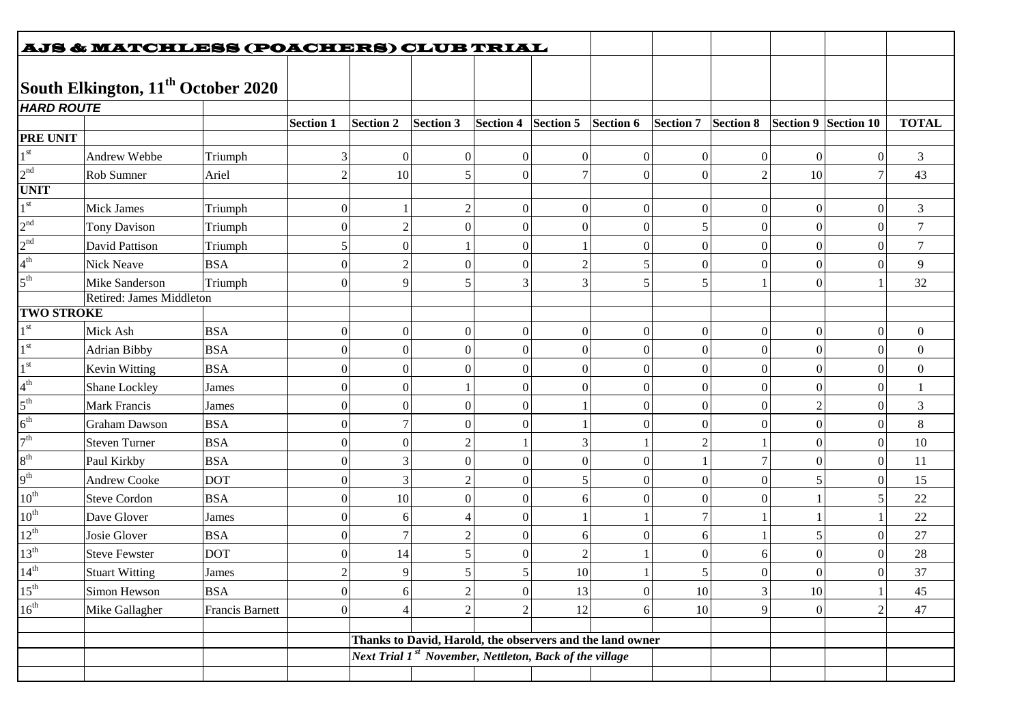|                   | <b>AJS &amp; MATCHLESS (POACHERS) CLUB TRIAL</b> |                 |                  |                                                                                                                                  |           |                  |                  |                  |                 |                  |          |                      |                  |
|-------------------|--------------------------------------------------|-----------------|------------------|----------------------------------------------------------------------------------------------------------------------------------|-----------|------------------|------------------|------------------|-----------------|------------------|----------|----------------------|------------------|
|                   |                                                  |                 |                  |                                                                                                                                  |           |                  |                  |                  |                 |                  |          |                      |                  |
|                   | South Elkington, 11 <sup>th</sup> October 2020   |                 |                  |                                                                                                                                  |           |                  |                  |                  |                 |                  |          |                      |                  |
| <b>HARD ROUTE</b> |                                                  |                 |                  |                                                                                                                                  |           |                  |                  |                  |                 |                  |          |                      |                  |
|                   |                                                  |                 | <b>Section 1</b> | <b>Section 2</b>                                                                                                                 | Section 3 | Section 4        | Section 5        | Section 6        | Section 7       | Section 8        |          | Section 9 Section 10 | <b>TOTAL</b>     |
| <b>PRE UNIT</b>   |                                                  |                 |                  |                                                                                                                                  |           |                  |                  |                  |                 |                  |          |                      |                  |
| $1^{\rm \,st}$    | Andrew Webbe                                     | Triumph         | 3                | $\vert 0 \vert$                                                                                                                  |           | $\boldsymbol{0}$ | $\boldsymbol{0}$ | $\boldsymbol{0}$ | $\vert 0 \vert$ | $\boldsymbol{0}$ | $\Omega$ | $\theta$             | $\mathfrak{Z}$   |
| 2 <sup>nd</sup>   | Rob Sumner                                       | Ariel           | $\overline{2}$   | 10                                                                                                                               |           | $\mathbf{0}$     | $\overline{7}$   | $\boldsymbol{0}$ | $\Omega$        | $\overline{2}$   | 10       | 7                    | 43               |
| <b>UNIT</b>       |                                                  |                 |                  |                                                                                                                                  |           |                  |                  |                  |                 |                  |          |                      |                  |
| $1^\mathrm{st}$   | Mick James                                       | Triumph         | $\overline{0}$   |                                                                                                                                  |           | $\boldsymbol{0}$ | $\boldsymbol{0}$ | $\boldsymbol{0}$ | $\theta$        | $\theta$         | 0        | $\overline{0}$       | 3                |
| 2 <sup>nd</sup>   | <b>Tony Davison</b>                              | Triumph         | 0                | $\overline{c}$                                                                                                                   |           | $\boldsymbol{0}$ | $\theta$         | $\boldsymbol{0}$ | 5               | $\theta$         | $\theta$ | $\overline{0}$       | $\tau$           |
| 2 <sup>nd</sup>   | David Pattison                                   | Triumph         | 5                | $\Omega$                                                                                                                         |           | $\boldsymbol{0}$ |                  | $\boldsymbol{0}$ | $\theta$        | 0                | $\Omega$ | $\theta$             | $\tau$           |
| $4^{th}$          | <b>Nick Neave</b>                                | <b>BSA</b>      | $\overline{0}$   | $\overline{2}$                                                                                                                   |           | $\boldsymbol{0}$ | $\overline{2}$   | 5                | $\vert 0 \vert$ | $\boldsymbol{0}$ | $\Omega$ | $\Omega$             | 9                |
| $5^{\rm th}$      | Mike Sanderson                                   | Triumph         | $\boldsymbol{0}$ | $\mathbf{Q}$                                                                                                                     |           | 3                | 3                | 5                | 5               |                  |          |                      | 32               |
|                   | Retired: James Middleton                         |                 |                  |                                                                                                                                  |           |                  |                  |                  |                 |                  |          |                      |                  |
| <b>TWO STROKE</b> |                                                  |                 |                  |                                                                                                                                  |           |                  |                  |                  |                 |                  |          |                      |                  |
| $1^{\rm st}$      | Mick Ash                                         | <b>BSA</b>      | 0                | $\vert 0 \vert$                                                                                                                  |           | $\boldsymbol{0}$ | $\boldsymbol{0}$ | $\boldsymbol{0}$ | $\mathbf{0}$    | $\boldsymbol{0}$ |          | $\mathbf{0}$         | $\boldsymbol{0}$ |
| $1^{\rm st}$      | <b>Adrian Bibby</b>                              | <b>BSA</b>      | 0                | $\vert 0 \vert$                                                                                                                  |           | $\boldsymbol{0}$ | $\boldsymbol{0}$ | $\boldsymbol{0}$ | $\mathbf{0}$    | $\theta$         |          | $\theta$             | $\boldsymbol{0}$ |
| $1^{\rm st}$      | Kevin Witting                                    | <b>BSA</b>      | $\boldsymbol{0}$ | $\vert 0 \vert$                                                                                                                  |           | $\boldsymbol{0}$ | $\theta$         | $\boldsymbol{0}$ | $\mathbf{0}$    | 0                | $\Omega$ | $\mathbf{0}$         | $\boldsymbol{0}$ |
| $4^{\text{th}}$   | Shane Lockley                                    | James           | $\overline{0}$   | 0                                                                                                                                |           | $\boldsymbol{0}$ | $\theta$         | $\boldsymbol{0}$ | $\vert 0 \vert$ | $\theta$         | $\Omega$ | $\overline{0}$       |                  |
| $5^{\text{th}}$   | <b>Mark Francis</b>                              | James           | 0                | $\vert 0 \vert$                                                                                                                  | 0         | $\boldsymbol{0}$ |                  | $\boldsymbol{0}$ | $\mathbf{0}$    | $\theta$         | 2        | $\theta$             | 3                |
| $6^{\text{th}}$   | <b>Graham Dawson</b>                             | <b>BSA</b>      | $\overline{0}$   |                                                                                                                                  |           | $\boldsymbol{0}$ |                  | $\boldsymbol{0}$ | $\vert 0 \vert$ | 0                | $\Omega$ | $\overline{0}$       | $8\,$            |
| 7 <sup>th</sup>   | Steven Turner                                    | <b>BSA</b>      | $\boldsymbol{0}$ | $\vert$ 0                                                                                                                        |           |                  | 3                |                  | $\overline{2}$  |                  | $\Omega$ | $\overline{0}$       | 10               |
| $8^{\rm th}$      | Paul Kirkby                                      | <b>BSA</b>      | $\overline{0}$   | $\overline{3}$                                                                                                                   |           | $\boldsymbol{0}$ | $\boldsymbol{0}$ | $\boldsymbol{0}$ |                 | 7                | $\Omega$ | $\overline{0}$       | 11               |
| 9 <sup>th</sup>   | <b>Andrew Cooke</b>                              | <b>DOT</b>      | $\boldsymbol{0}$ | $3^{\circ}$                                                                                                                      |           | $\boldsymbol{0}$ | 5                | $\boldsymbol{0}$ | $\Omega$        | $\boldsymbol{0}$ |          | $\Omega$             | 15               |
| $10^{\rm th}$     | <b>Steve Cordon</b>                              | <b>BSA</b>      | $\overline{0}$   | 10                                                                                                                               | $\Omega$  | $\boldsymbol{0}$ | 6                | $\boldsymbol{0}$ | $\vert 0 \vert$ | $\boldsymbol{0}$ |          | 5                    | 22               |
| $10^{\rm th}$     | Dave Glover                                      | James           | 0                | 6                                                                                                                                |           | $\boldsymbol{0}$ |                  |                  | 7               |                  |          |                      | 22               |
| $12^{\rm th}$     | Josie Glover                                     | <b>BSA</b>      | 0                |                                                                                                                                  |           | $\boldsymbol{0}$ | 6                | $\mathbf{0}$     | 6               |                  |          | $\mathbf{0}$         | 27               |
| $13^{\rm th}$     | <b>Steve Fewster</b>                             | <b>DOT</b>      | 0                | 14                                                                                                                               |           | $\theta$         | $\overline{2}$   |                  | 0               | 6                |          | $\Omega$             | 28               |
| $14^{th}$         | <b>Stuart Witting</b>                            | James           | $\mathfrak{D}$   | $\overline{Q}$                                                                                                                   |           | 5.               | 10               |                  |                 | $\Omega$         | $\Omega$ | $\Omega$             | 37               |
| $15^{\rm th}$     | Simon Hewson                                     | <b>BSA</b>      | $\overline{0}$   | 6                                                                                                                                |           | $\boldsymbol{0}$ | 13               | $\boldsymbol{0}$ | 10              | 3                | $10\,$   |                      | 45               |
| $16^{\rm th}$     | Mike Gallagher                                   | Francis Barnett | $\overline{0}$   |                                                                                                                                  |           | 2                | 12               | 6                | 10              | 9                | $\theta$ | $\overline{2}$       | 47               |
|                   |                                                  |                 |                  |                                                                                                                                  |           |                  |                  |                  |                 |                  |          |                      |                  |
|                   |                                                  |                 |                  | Thanks to David, Harold, the observers and the land owner<br>Next Trial 1 <sup>st</sup> November, Nettleton, Back of the village |           |                  |                  |                  |                 |                  |          |                      |                  |
|                   |                                                  |                 |                  |                                                                                                                                  |           |                  |                  |                  |                 |                  |          |                      |                  |
|                   |                                                  |                 |                  |                                                                                                                                  |           |                  |                  |                  |                 |                  |          |                      |                  |